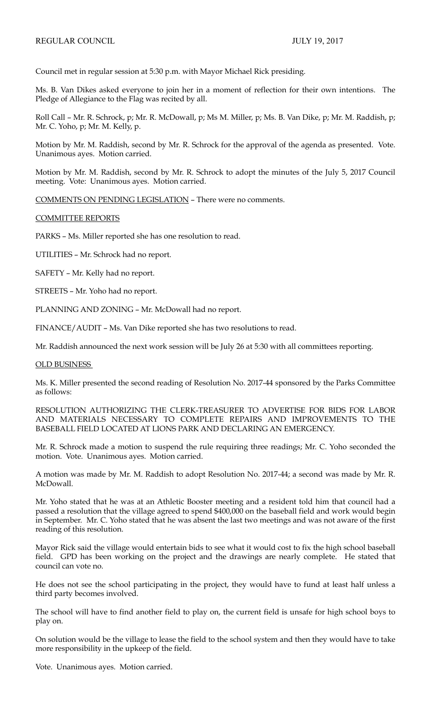Council met in regular session at 5:30 p.m. with Mayor Michael Rick presiding.

Ms. B. Van Dikes asked everyone to join her in a moment of reflection for their own intentions. The Pledge of Allegiance to the Flag was recited by all.

Roll Call – Mr. R. Schrock, p; Mr. R. McDowall, p; Ms M. Miller, p; Ms. B. Van Dike, p; Mr. M. Raddish, p; Mr. C. Yoho, p; Mr. M. Kelly, p.

Motion by Mr. M. Raddish, second by Mr. R. Schrock for the approval of the agenda as presented. Vote. Unanimous ayes. Motion carried.

Motion by Mr. M. Raddish, second by Mr. R. Schrock to adopt the minutes of the July 5, 2017 Council meeting. Vote: Unanimous ayes. Motion carried.

COMMENTS ON PENDING LEGISLATION – There were no comments.

## COMMITTEE REPORTS

PARKS – Ms. Miller reported she has one resolution to read.

UTILITIES – Mr. Schrock had no report.

SAFETY – Mr. Kelly had no report.

STREETS – Mr. Yoho had no report.

PLANNING AND ZONING – Mr. McDowall had no report.

FINANCE/AUDIT – Ms. Van Dike reported she has two resolutions to read.

Mr. Raddish announced the next work session will be July 26 at 5:30 with all committees reporting.

## OLD BUSINESS

Ms. K. Miller presented the second reading of Resolution No. 2017-44 sponsored by the Parks Committee as follows:

RESOLUTION AUTHORIZING THE CLERK-TREASURER TO ADVERTISE FOR BIDS FOR LABOR AND MATERIALS NECESSARY TO COMPLETE REPAIRS AND IMPROVEMENTS TO THE BASEBALL FIELD LOCATED AT LIONS PARK AND DECLARING AN EMERGENCY.

Mr. R. Schrock made a motion to suspend the rule requiring three readings; Mr. C. Yoho seconded the motion. Vote. Unanimous ayes. Motion carried.

A motion was made by Mr. M. Raddish to adopt Resolution No. 2017-44; a second was made by Mr. R. McDowall.

Mr. Yoho stated that he was at an Athletic Booster meeting and a resident told him that council had a passed a resolution that the village agreed to spend \$400,000 on the baseball field and work would begin in September. Mr. C. Yoho stated that he was absent the last two meetings and was not aware of the first reading of this resolution.

Mayor Rick said the village would entertain bids to see what it would cost to fix the high school baseball field. GPD has been working on the project and the drawings are nearly complete. He stated that council can vote no.

He does not see the school participating in the project, they would have to fund at least half unless a third party becomes involved.

The school will have to find another field to play on, the current field is unsafe for high school boys to play on.

On solution would be the village to lease the field to the school system and then they would have to take more responsibility in the upkeep of the field.

Vote. Unanimous ayes. Motion carried.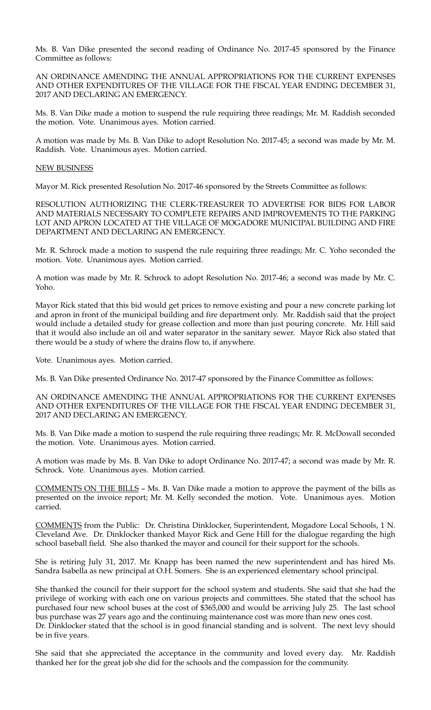Ms. B. Van Dike presented the second reading of Ordinance No. 2017-45 sponsored by the Finance Committee as follows:

AN ORDINANCE AMENDING THE ANNUAL APPROPRIATIONS FOR THE CURRENT EXPENSES AND OTHER EXPENDITURES OF THE VILLAGE FOR THE FISCAL YEAR ENDING DECEMBER 31, 2017 AND DECLARING AN EMERGENCY.

Ms. B. Van Dike made a motion to suspend the rule requiring three readings; Mr. M. Raddish seconded the motion. Vote. Unanimous ayes. Motion carried.

A motion was made by Ms. B. Van Dike to adopt Resolution No. 2017-45; a second was made by Mr. M. Raddish. Vote. Unanimous ayes. Motion carried.

## NEW BUSINESS

Mayor M. Rick presented Resolution No. 2017-46 sponsored by the Streets Committee as follows:

RESOLUTION AUTHORIZING THE CLERK-TREASURER TO ADVERTISE FOR BIDS FOR LABOR AND MATERIALS NECESSARY TO COMPLETE REPAIRS AND IMPROVEMENTS TO THE PARKING LOT AND APRON LOCATED AT THE VILLAGE OF MOGADORE MUNICIPAL BUILDING AND FIRE DEPARTMENT AND DECLARING AN EMERGENCY.

Mr. R. Schrock made a motion to suspend the rule requiring three readings; Mr. C. Yoho seconded the motion. Vote. Unanimous ayes. Motion carried.

A motion was made by Mr. R. Schrock to adopt Resolution No. 2017-46; a second was made by Mr. C. Yoho.

Mayor Rick stated that this bid would get prices to remove existing and pour a new concrete parking lot and apron in front of the municipal building and fire department only. Mr. Raddish said that the project would include a detailed study for grease collection and more than just pouring concrete. Mr. Hill said that it would also include an oil and water separator in the sanitary sewer. Mayor Rick also stated that there would be a study of where the drains flow to, if anywhere.

Vote. Unanimous ayes. Motion carried.

Ms. B. Van Dike presented Ordinance No. 2017-47 sponsored by the Finance Committee as follows:

AN ORDINANCE AMENDING THE ANNUAL APPROPRIATIONS FOR THE CURRENT EXPENSES AND OTHER EXPENDITURES OF THE VILLAGE FOR THE FISCAL YEAR ENDING DECEMBER 31, 2017 AND DECLARING AN EMERGENCY.

Ms. B. Van Dike made a motion to suspend the rule requiring three readings; Mr. R. McDowall seconded the motion. Vote. Unanimous ayes. Motion carried.

A motion was made by Ms. B. Van Dike to adopt Ordinance No. 2017-47; a second was made by Mr. R. Schrock. Vote. Unanimous ayes. Motion carried.

COMMENTS ON THE BILLS – Ms. B. Van Dike made a motion to approve the payment of the bills as presented on the invoice report; Mr. M. Kelly seconded the motion. Vote. Unanimous ayes. Motion carried.

COMMENTS from the Public: Dr. Christina Dinklocker, Superintendent, Mogadore Local Schools, 1 N. Cleveland Ave. Dr. Dinklocker thanked Mayor Rick and Gene Hill for the dialogue regarding the high school baseball field. She also thanked the mayor and council for their support for the schools.

She is retiring July 31, 2017. Mr. Knapp has been named the new superintendent and has hired Ms. Sandra Isabella as new principal at O.H. Somers. She is an experienced elementary school principal.

She thanked the council for their support for the school system and students. She said that she had the privilege of working with each one on various projects and committees. She stated that the school has purchased four new school buses at the cost of \$365,000 and would be arriving July 25. The last school bus purchase was 27 years ago and the continuing maintenance cost was more than new ones cost. Dr. Dinklocker stated that the school is in good financial standing and is solvent. The next levy should be in five years.

She said that she appreciated the acceptance in the community and loved every day. Mr. Raddish thanked her for the great job she did for the schools and the compassion for the community.